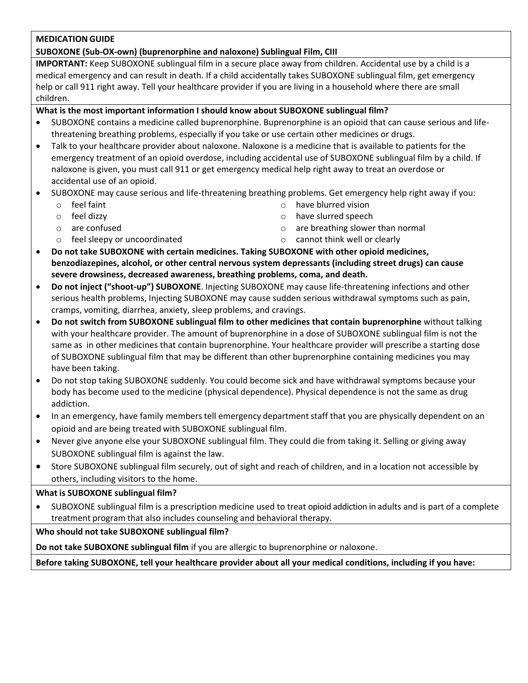### **MEDICATION GUIDE**

### **SUBOXONE (Sub-OX-own) (buprenorphine and naloxone) Sublingual Film, CIII**

**IMPORTANT:** Keep SUBOXONE sublingual film in a secure place away from children. Accidental use by a child is a medical emergency and can result in death. If a child accidentally takes SUBOXONE sublingual film, get emergency help or call 911 right away. Tell your healthcare provider if you are living in a household where there are small children.

### **What is the most important information I should know about SUBOXONE sublingual film?**

- SUBOXONE contains a medicine called buprenorphine. Buprenorphine is an opioid that can cause serious and lifethreatening breathing problems, especially if you take or use certain other medicines or drugs.
- Talk to your healthcare provider about naloxone. Naloxone is a medicine that is available to patients for the emergency treatment of an opioid overdose, including accidental use of SUBOXONE sublingual film by a child. If naloxone is given, you must call 911 or get emergency medical help right away to treat an overdose or accidental use of an opioid.
- SUBOXONE may cause serious and life-threatening breathing problems. Get emergency help right away if you:
	- o feel faint

- o feel dizzy
- o are confused o feel sleepy or uncoordinated
- o have blurred vision o have slurred speech
- o are breathing slower than normal
- o cannot think well or clearly
- **Do not take SUBOXONE with certain medicines. Taking SUBOXONE with other opioid medicines, benzodiazepines, alcohol, or other central nervous system depressants (including street drugs) can cause severe drowsiness, decreased awareness, breathing problems, coma, and death.**
- **Do not inject ("shoot-up") SUBOXONE**. Injecting SUBOXONE may cause life-threatening infections and other serious health problems, Injecting SUBOXONE may cause sudden serious withdrawal symptoms such as pain, cramps, vomiting, diarrhea, anxiety, sleep problems, and cravings.
- **Do not switch from SUBOXONE sublingual film to other medicines that contain buprenorphine** without talking with your healthcare provider. The amount of buprenorphine in a dose of SUBOXONE sublingual film is not the same as in other medicines that contain buprenorphine. Your healthcare provider will prescribe a starting dose of SUBOXONE sublingual film that may be different than other buprenorphine containing medicines you may have been taking.
- Do not stop taking SUBOXONE suddenly. You could become sick and have withdrawal symptoms because your body has become used to the medicine (physical dependence). Physical dependence is not the same as drug addiction.
- In an emergency, have family members tell emergency department staff that you are physically dependent on an opioid and are being treated with SUBOXONE sublingual film.
- Never give anyone else your SUBOXONE sublingual film. They could die from taking it. Selling or giving away SUBOXONE sublingual film is against the law.
- Store SUBOXONE sublingual film securely, out of sight and reach of children, and in a location not accessible by others, including visitors to the home.

### **What is SUBOXONE sublingual film?**

• SUBOXONE sublingual film is a prescription medicine used to treat opioid addiction in adults and is part of a complete treatment program that also includes counseling and behavioral therapy.

# **Who should not take SUBOXONE sublingual film?**

**Do not take SUBOXONE sublingual film** if you are allergic to buprenorphine or naloxone.

**Before taking SUBOXONE, tell your healthcare provider about all your medical conditions, including if you have:**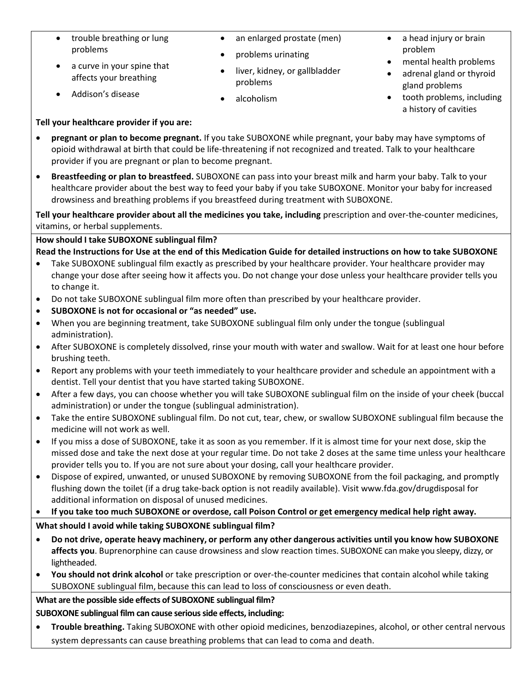- trouble breathing or lung problems
- a curve in your spine that affects your breathing

• Addison's disease

- an enlarged prostate (men)
- problems urinating
- liver, kidney, or gallbladder problems
- alcoholism
- a head injury or brain problem
- mental health problems
- adrenal gland or thyroid gland problems
- tooth problems, including a history of cavities

### **Tell your healthcare provider if you are:**

- **pregnant or plan to become pregnant.** If you take SUBOXONE while pregnant, your baby may have symptoms of opioid withdrawal at birth that could be life-threatening if not recognized and treated. Talk to your healthcare provider if you are pregnant or plan to become pregnant.
- **Breastfeeding or plan to breastfeed.** SUBOXONE can pass into your breast milk and harm your baby. Talk to your healthcare provider about the best way to feed your baby if you take SUBOXONE. Monitor your baby for increased drowsiness and breathing problems if you breastfeed during treatment with SUBOXONE.

**Tell your healthcare provider about all the medicines you take, including** prescription and over-the-counter medicines, vitamins, or herbal supplements.

### **How should I take SUBOXONE sublingual film?**

**Read the Instructions for Use at the end of this Medication Guide for detailed instructions on how to take SUBOXONE**

- Take SUBOXONE sublingual film exactly as prescribed by your healthcare provider. Your healthcare provider may change your dose after seeing how it affects you. Do not change your dose unless your healthcare provider tells you to change it.
- Do not take SUBOXONE sublingual film more often than prescribed by your healthcare provider.
- **SUBOXONE is not for occasional or "as needed" use.**
- When you are beginning treatment, take SUBOXONE sublingual film only under the tongue (sublingual administration).
- After SUBOXONE is completely dissolved, rinse your mouth with water and swallow. Wait for at least one hour before brushing teeth.
- Report any problems with your teeth immediately to your healthcare provider and schedule an appointment with a dentist. Tell your dentist that you have started taking SUBOXONE.
- After a few days, you can choose whether you will take SUBOXONE sublingual film on the inside of your cheek (buccal administration) or under the tongue (sublingual administration).
- Take the entire SUBOXONE sublingual film. Do not cut, tear, chew, or swallow SUBOXONE sublingual film because the medicine will not work as well.
- If you miss a dose of SUBOXONE, take it as soon as you remember. If it is almost time for your next dose, skip the missed dose and take the next dose at your regular time. Do not take 2 doses at the same time unless your healthcare provider tells you to. If you are not sure about your dosing, call your healthcare provider.
- Dispose of expired, unwanted, or unused SUBOXONE by removing SUBOXONE from the foil packaging, and promptly flushing down the toilet (if a drug take-back option is not readily available). Visit www.fda.gov/drugdisposal for additional information on disposal of unused medicines.

# • **If you take too much SUBOXONE or overdose, call Poison Control or get emergency medical help right away.**

**Whatshould I avoid while taking SUBOXONE sublingual film?**

- **Do not drive, operate heavy machinery, or perform any other dangerous activities until you know how SUBOXONE affects you**. Buprenorphine can cause drowsiness and slow reaction times. SUBOXONE can make you sleepy, dizzy, or lightheaded.
- **You should not drink alcohol** or take prescription or over-the-counter medicines that contain alcohol while taking SUBOXONE sublingual film, because this can lead to loss of consciousness or even death.

# **What are the possible side effects of SUBOXONE sublingual film?**

# **SUBOXONE sublingual film can cause serious side effects, including:**

• **Trouble breathing.** Taking SUBOXONE with other opioid medicines, benzodiazepines, alcohol, or other central nervous system depressants can cause breathing problems that can lead to coma and death.